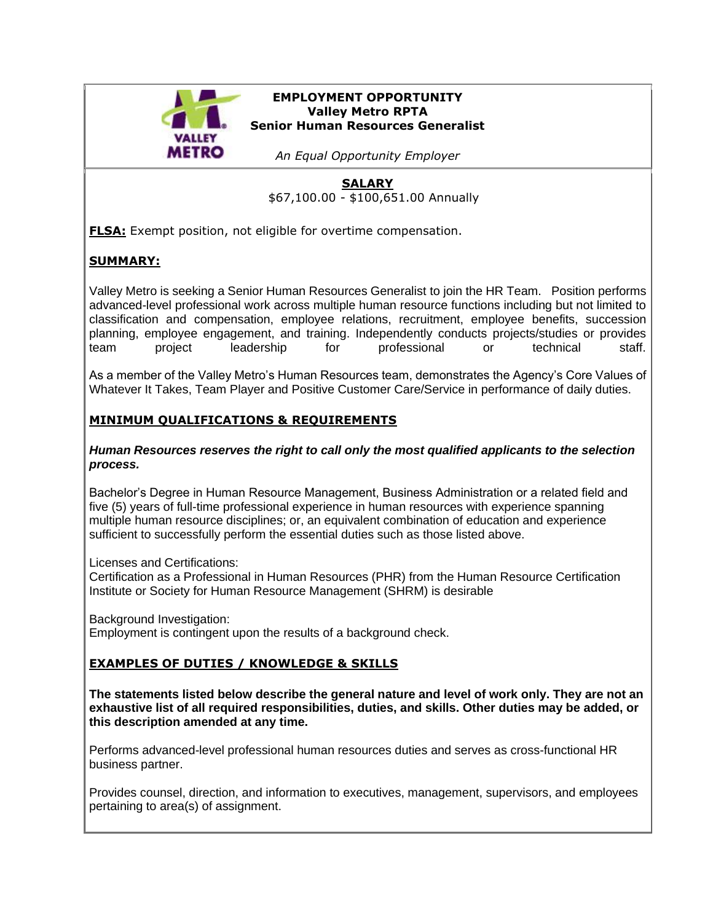

### **EMPLOYMENT OPPORTUNITY Valley Metro RPTA Senior Human Resources Generalist**

*An Equal Opportunity Employer*

### **SALARY** \$67,100.00 - \$100,651.00 Annually

**FLSA:** Exempt position, not eligible for overtime compensation.

# **SUMMARY:**

Valley Metro is seeking a Senior Human Resources Generalist to join the HR Team. Position performs advanced-level professional work across multiple human resource functions including but not limited to classification and compensation, employee relations, recruitment, employee benefits, succession planning, employee engagement, and training. Independently conducts projects/studies or provides team project leadership for professional or technical staff.

As a member of the Valley Metro's Human Resources team, demonstrates the Agency's Core Values of Whatever It Takes, Team Player and Positive Customer Care/Service in performance of daily duties.

# **MINIMUM QUALIFICATIONS & REQUIREMENTS**

### *Human Resources reserves the right to call only the most qualified applicants to the selection process.*

Bachelor's Degree in Human Resource Management, Business Administration or a related field and five (5) years of full-time professional experience in human resources with experience spanning multiple human resource disciplines; or, an equivalent combination of education and experience sufficient to successfully perform the essential duties such as those listed above.

Licenses and Certifications:

Certification as a Professional in Human Resources (PHR) from the Human Resource Certification Institute or Society for Human Resource Management (SHRM) is desirable

Background Investigation:

Employment is contingent upon the results of a background check.

# **EXAMPLES OF DUTIES / KNOWLEDGE & SKILLS**

**The statements listed below describe the general nature and level of work only. They are not an exhaustive list of all required responsibilities, duties, and skills. Other duties may be added, or this description amended at any time.**

Performs advanced-level professional human resources duties and serves as cross-functional HR business partner.

Provides counsel, direction, and information to executives, management, supervisors, and employees pertaining to area(s) of assignment.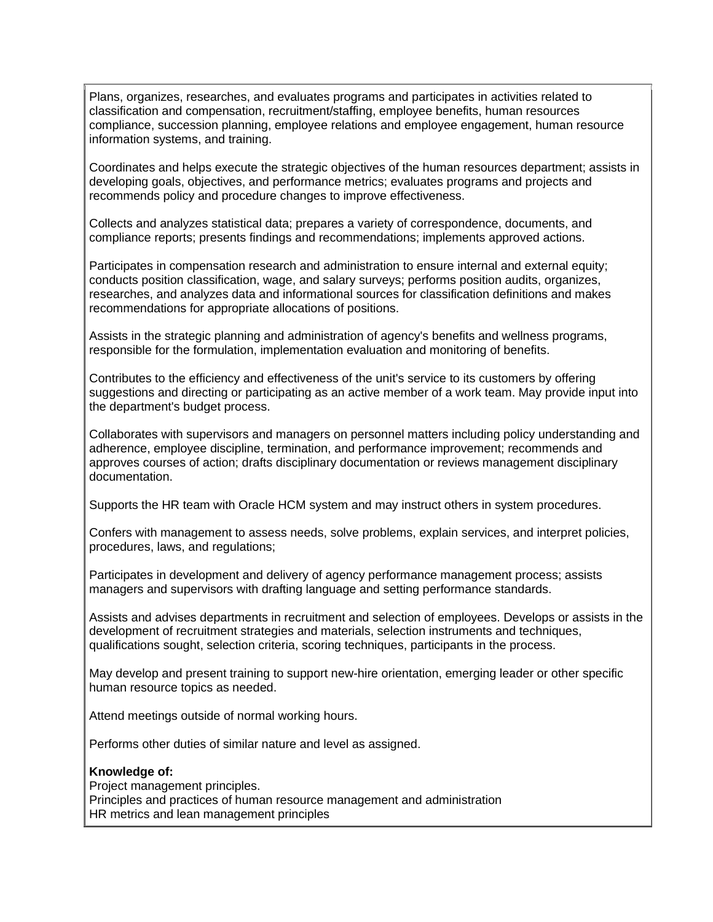Plans, organizes, researches, and evaluates programs and participates in activities related to classification and compensation, recruitment/staffing, employee benefits, human resources compliance, succession planning, employee relations and employee engagement, human resource information systems, and training.

Coordinates and helps execute the strategic objectives of the human resources department; assists in developing goals, objectives, and performance metrics; evaluates programs and projects and recommends policy and procedure changes to improve effectiveness.

Collects and analyzes statistical data; prepares a variety of correspondence, documents, and compliance reports; presents findings and recommendations; implements approved actions.

Participates in compensation research and administration to ensure internal and external equity; conducts position classification, wage, and salary surveys; performs position audits, organizes, researches, and analyzes data and informational sources for classification definitions and makes recommendations for appropriate allocations of positions.

Assists in the strategic planning and administration of agency's benefits and wellness programs, responsible for the formulation, implementation evaluation and monitoring of benefits.

Contributes to the efficiency and effectiveness of the unit's service to its customers by offering suggestions and directing or participating as an active member of a work team. May provide input into the department's budget process.

Collaborates with supervisors and managers on personnel matters including policy understanding and adherence, employee discipline, termination, and performance improvement; recommends and approves courses of action; drafts disciplinary documentation or reviews management disciplinary documentation.

Supports the HR team with Oracle HCM system and may instruct others in system procedures.

Confers with management to assess needs, solve problems, explain services, and interpret policies, procedures, laws, and regulations;

Participates in development and delivery of agency performance management process; assists managers and supervisors with drafting language and setting performance standards.

Assists and advises departments in recruitment and selection of employees. Develops or assists in the development of recruitment strategies and materials, selection instruments and techniques, qualifications sought, selection criteria, scoring techniques, participants in the process.

May develop and present training to support new-hire orientation, emerging leader or other specific human resource topics as needed.

Attend meetings outside of normal working hours.

Performs other duties of similar nature and level as assigned.

#### **Knowledge of:**

Project management principles. Principles and practices of human resource management and administration HR metrics and lean management principles